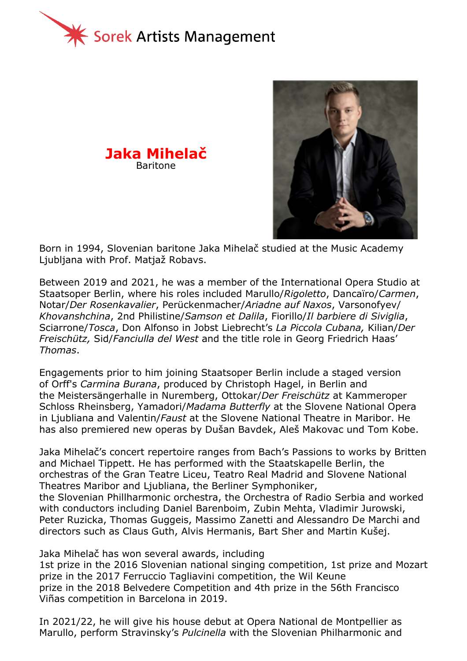





Born in 1994, Slovenian baritone Jaka Mihelač studied at the Music Academy Ljubljana with Prof. Matjaž Robavs.

Between 2019 and 2021, he was a member of the International Opera Studio at Staatsoper Berlin, where his roles included Marullo/*Rigoletto*, Dancaïro/*Carmen*, Notar/*Der Rosenkavalier*, Perückenmacher/*Ariadne auf Naxos*, Varsonofyev/ *Khovanshchina*, 2nd Philistine/*Samson et Dalila*, Fiorillo/*Il barbiere di Siviglia*, Sciarrone/*Tosca*, Don Alfonso in Jobst Liebrecht's *La Piccola Cubana,* Kilian/*Der Freischütz,* Sid/*Fanciulla del West* and the title role in Georg Friedrich Haas' *Thomas*.

Engagements prior to him joining Staatsoper Berlin include a staged version of Orff's *Carmina Burana*, produced by Christoph Hagel, in Berlin and the Meistersängerhalle in Nuremberg, Ottokar/*Der Freischütz* at Kammeroper Schloss Rheinsberg, Yamadori/*Madama Butterfly* at the Slovene National Opera in Ljubliana and Valentin/*Faust* at the Slovene National Theatre in Maribor. He has also premiered new operas by Dušan Bavdek, Aleš Makovac und Tom Kobe.

Jaka Mihelač's concert repertoire ranges from Bach's Passions to works by Britten and Michael Tippett. He has performed with the Staatskapelle Berlin, the orchestras of the Gran Teatre Liceu, Teatro Real Madrid and Slovene National Theatres Maribor and Ljubliana, the Berliner Symphoniker, the Slovenian Phillharmonic orchestra, the Orchestra of Radio Serbia and worked with conductors including Daniel Barenboim, Zubin Mehta, Vladimir Jurowski, Peter Ruzicka, Thomas Guggeis, Massimo Zanetti and Alessandro De Marchi and directors such as Claus Guth, Alvis Hermanis, Bart Sher and Martin Kušej.

Jaka Mihelač has won several awards, including

1st prize in the 2016 Slovenian national singing competition, 1st prize and Mozart prize in the 2017 Ferruccio Tagliavini competition, the Wil Keune prize in the 2018 Belvedere Competition and 4th prize in the 56th Francisco Viñas competition in Barcelona in 2019.

In 2021/22, he will give his house debut at Opera National de Montpellier as Marullo, perform Stravinsky's *Pulcinella* with the Slovenian Philharmonic and